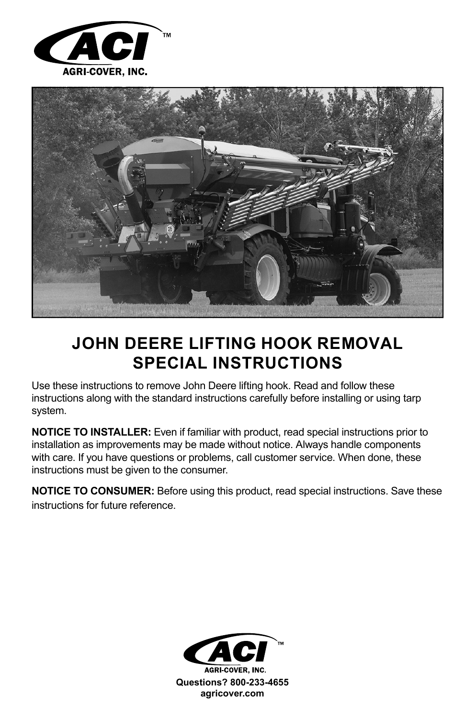



## **JOHN DEERE LIFTING HOOK REMOVAL SPECIAL INSTRUCTIONS**

Use these instructions to remove John Deere lifting hook. Read and follow these instructions along with the standard instructions carefully before installing or using tarp system.

**NOTICE TO INSTALLER:** Even if familiar with product, read special instructions prior to installation as improvements may be made without notice. Always handle components with care. If you have questions or problems, call customer service. When done, these instructions must be given to the consumer.

**NOTICE TO CONSUMER:** Before using this product, read special instructions. Save these instructions for future reference.

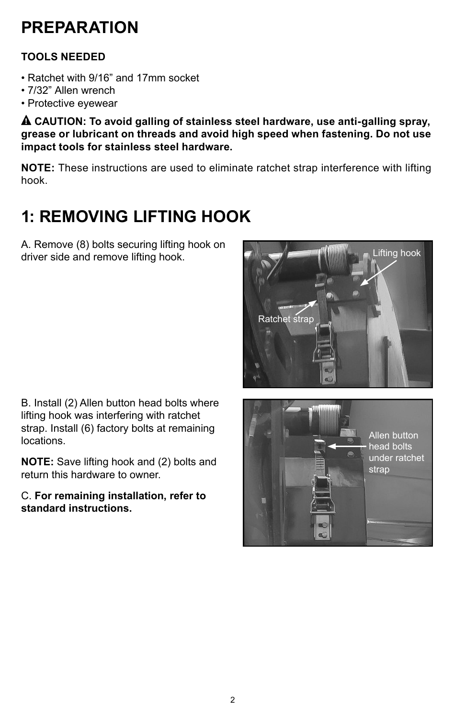## **PREPARATION**

## **TOOLS NEEDED**

- Ratchet with 9/16" and 17mm socket
- 7/32" Allen wrench
- Protective eyewear

! **CAUTION: To avoid galling of stainless steel hardware, use anti-galling spray, grease or lubricant on threads and avoid high speed when fastening. Do not use impact tools for stainless steel hardware.**

**NOTE:** These instructions are used to eliminate ratchet strap interference with lifting hook.

## **1: REMOVING LIFTING HOOK**

A. Remove (8) bolts securing lifting hook on driver side and remove lifting hook.



B. Install (2) Allen button head bolts where lifting hook was interfering with ratchet strap. Install (6) factory bolts at remaining locations.

**NOTE:** Save lifting hook and (2) bolts and return this hardware to owner.

C. **For remaining installation, refer to standard instructions.**